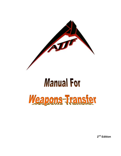

# **Manual For**



**2nd Edition**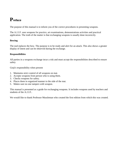#### **Preface**

The purpose of this manual is to inform you of the correct procedures in presenting weapons.

The A.J.J.F. uses weapons for practice, art examinations, demonstrations activities and practical application. The truth of the matter is that exchanging weapons is usually done incorrectly.

#### **Bowing**

The nod replaces the bow. The purpose is to be ready and alert for an attack. This also shows a greater display of intent and can be observed during the exchange.

#### **Responsibilities**

All parties in a weapons exchange incur a risk and must accept the responsibilities described to ensure safety

Gioji's responsibility when present

- 1. Maintains strict control of all weapons on mat.
- 2. Accepts weapons from person who is using them.
- 3. Checks weapons for safety.
- 4. Places them in organized manner to the side of the mat.
- 5. Makes sure no one tampers with weapon.

This manual is presented as a guide for exchanging weapons. It includes weapons used by teachers and students of the A.J.J.F..

We would like to thank Professor Mussleman who created the first edition from which this was created.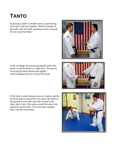## **TANTO**

In passing a knife to another person, stand facing each other with feet together. Hold the handle of the knife with the blade pointing towards yourself. Do not touch the blade.

In the exchange, the person giving the knife only needs to nod his head as a slight bow. The person receiving the knife should nod slightly acknowledging that has received the knife.

If the knife is used during exams or contests and the knife has been recovered by tori, place the knife on the ground at your side and walk around to the other side of uke. Uke walks around the other side and picks up the knife. You have both changed sides with this movement.





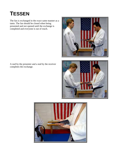#### **TESSEN**

The fan is exchanged in the exact same manner as a tanto. The fan should be closed when being presented and not opened until the exchange is completed and everyone is out of reach.



A nod by the presenter and a nod by the receiver completes the exchange.



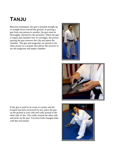#### **TANJU**

Between techniques, the gun is pointed straight up or straight down toward the ground. In passing a gun from one person to another, the gun must be thoroughly checked by the presenter. When the gun is empty and chamber free of cartridges, the person passing the gun removes the clip and opens the chamber. The gun and magazine are passed to the other person in a manner that allows the receiver to see the magazine and empty chamber.





If the gun is used in an exam or contest and the weapon has been recovered by tori, place the gun on the ground at your side and walk around to the other side of uke. Uke walks around the other side and picks up the gun. You have both changed sides with this movement.

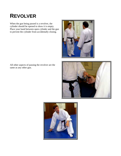#### **REVOLVER**

When the gun being passed is a revolver, the cylinder should be opened to show it is empty. Place your hand between open cylinder and the gun to prevent the cylinder from accidentally closing.



All other aspects of passing the revolver are the same as any other gun.



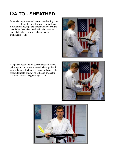## **DAITO - SHEATHED**

In transferring a sheathed sword, stand facing your receiver, holding the sword in your upraised hands. Your left hand grasps the handle while your right hand holds the end of the sheath. The presenter nods his head as a bow to indicate that the exchange is ready.



The person receiving the sword raises his hands, palms up, and accepts the sword. The right hand grasps the sword with the hand-guard between the first and middle finger. The left hand grasps the scabbard close to the givers right hand.